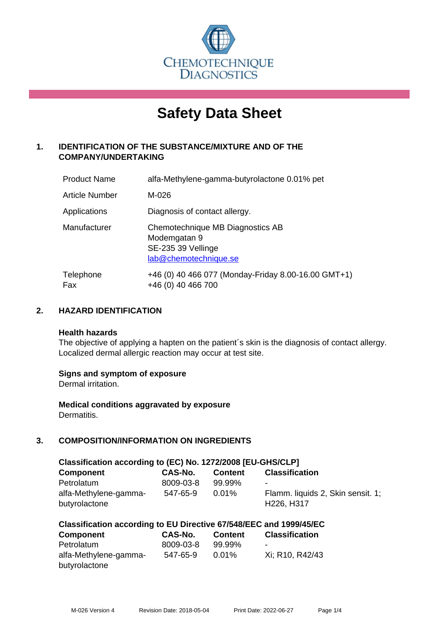

# **Safety Data Sheet**

# **1. IDENTIFICATION OF THE SUBSTANCE/MIXTURE AND OF THE COMPANY/UNDERTAKING**

| <b>Product Name</b> | alfa-Methylene-gamma-butyrolactone 0.01% pet                                                    |
|---------------------|-------------------------------------------------------------------------------------------------|
| Article Number      | M-026                                                                                           |
| Applications        | Diagnosis of contact allergy.                                                                   |
| Manufacturer        | Chemotechnique MB Diagnostics AB<br>Modemgatan 9<br>SE-235 39 Vellinge<br>lab@chemotechnique.se |
| Telephone<br>Fax    | +46 (0) 40 466 077 (Monday-Friday 8.00-16.00 GMT+1)<br>+46 (0) 40 466 700                       |

## **2. HAZARD IDENTIFICATION**

#### **Health hazards**

The objective of applying a hapten on the patient's skin is the diagnosis of contact allergy. Localized dermal allergic reaction may occur at test site.

## **Signs and symptom of exposure**

Dermal irritation.

**Medical conditions aggravated by exposure** Dermatitis.

# **3. COMPOSITION/INFORMATION ON INGREDIENTS**

| Classification according to (EC) No. 1272/2008 [EU-GHS/CLP] |                       |                    |                                        |  |  |  |
|-------------------------------------------------------------|-----------------------|--------------------|----------------------------------------|--|--|--|
| <b>Component</b>                                            | CAS-No.               | <b>Content</b>     | <b>Classification</b>                  |  |  |  |
| Petrolatum<br>alfa-Methylene-gamma-                         | 8009-03-8<br>547-65-9 | 99.99%<br>$0.01\%$ | ۰<br>Flamm. liquids 2, Skin sensit. 1; |  |  |  |
| butyrolactone                                               |                       |                    | H226, H317                             |  |  |  |

## **Classification according to EU Directive 67/548/EEC and 1999/45/EC**

| <b>Component</b>      | <b>CAS-No.</b> | <b>Content</b> | <b>Classification</b>    |
|-----------------------|----------------|----------------|--------------------------|
| Petrolatum            | 8009-03-8      | 99.99%         | $\overline{\phantom{a}}$ |
| alfa-Methylene-gamma- | 547-65-9       | $0.01\%$       | Xi: R10, R42/43          |
| butyrolactone         |                |                |                          |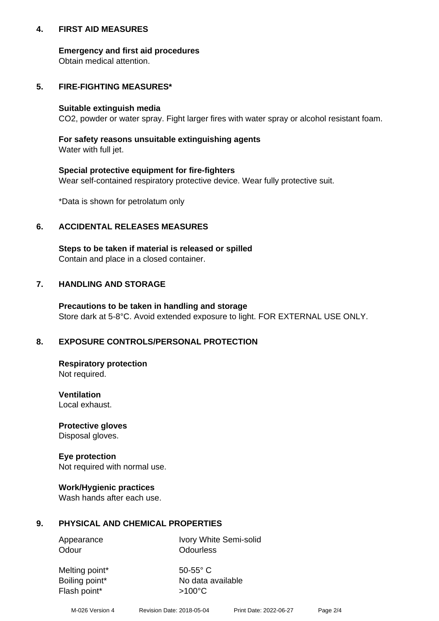## **4. FIRST AID MEASURES**

## **Emergency and first aid procedures**

Obtain medical attention.

# **5. FIRE-FIGHTING MEASURES\***

#### **Suitable extinguish media**

CO2, powder or water spray. Fight larger fires with water spray or alcohol resistant foam.

# **For safety reasons unsuitable extinguishing agents**

Water with full jet.

## **Special protective equipment for fire-fighters**

Wear self-contained respiratory protective device. Wear fully protective suit.

\*Data is shown for petrolatum only

## **6. ACCIDENTAL RELEASES MEASURES**

**Steps to be taken if material is released or spilled** Contain and place in a closed container.

# **7. HANDLING AND STORAGE**

**Precautions to be taken in handling and storage** Store dark at 5-8°C. Avoid extended exposure to light. FOR EXTERNAL USE ONLY.

# **8. EXPOSURE CONTROLS/PERSONAL PROTECTION**

**Respiratory protection** Not required.

**Ventilation** Local exhaust.

**Protective gloves** Disposal gloves.

#### **Eye protection** Not required with normal use.

## **Work/Hygienic practices**

Wash hands after each use.

## **9. PHYSICAL AND CHEMICAL PROPERTIES**

Odour **Odourless** 

Appearance Ivory White Semi-solid

Melting point\* 50-55° C Flash point\*  $>100^{\circ}$ C

Boiling point\* No data available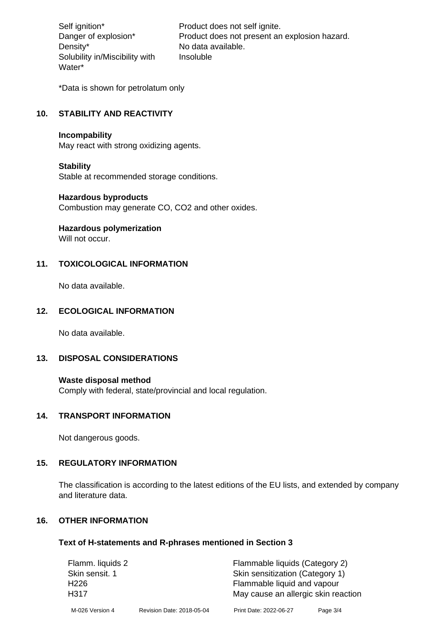Density\* No data available. Solubility in/Miscibility with Water\*

Self ignition\* Product does not self ignite. Danger of explosion\* Product does not present an explosion hazard. Insoluble

\*Data is shown for petrolatum only

# **10. STABILITY AND REACTIVITY**

#### **Incompability**

May react with strong oxidizing agents.

#### **Stability**

Stable at recommended storage conditions.

#### **Hazardous byproducts**

Combustion may generate CO, CO2 and other oxides.

**Hazardous polymerization**

Will not occur.

## **11. TOXICOLOGICAL INFORMATION**

No data available.

## **12. ECOLOGICAL INFORMATION**

No data available.

## **13. DISPOSAL CONSIDERATIONS**

#### **Waste disposal method**

Comply with federal, state/provincial and local regulation.

#### **14. TRANSPORT INFORMATION**

Not dangerous goods.

## **15. REGULATORY INFORMATION**

The classification is according to the latest editions of the EU lists, and extended by company and literature data.

#### **16. OTHER INFORMATION**

#### **Text of H-statements and R-phrases mentioned in Section 3**

| Flamm. liquids 2 |                           | Flammable liquids (Category 2)      |            |  |
|------------------|---------------------------|-------------------------------------|------------|--|
| Skin sensit. 1   |                           | Skin sensitization (Category 1)     |            |  |
| H <sub>226</sub> |                           | Flammable liquid and vapour         |            |  |
| H317             |                           | May cause an allergic skin reaction |            |  |
| M-026 Version 4  | Revision Date: 2018-05-04 | Print Date: 2022-06-27              | Page $3/4$ |  |